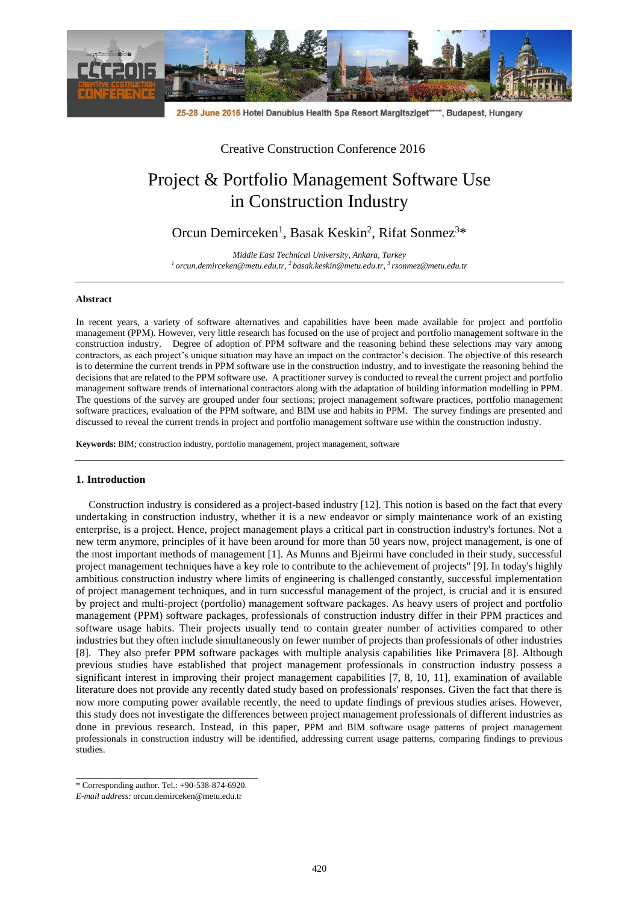

25-28 June 2016 Hotel Danubius Health Spa Resort Margitsziget\*\*\*\*, Budapest, Hungary

Creative Construction Conference 2016

# Project & Portfolio Management Software Use in Construction Industry

Orcun Demirceken<sup>1</sup>, Basak Keskin<sup>2</sup>, Rifat Sonmez<sup>3\*</sup>

*Middle East Technical University, Ankara, Turkey <sup>1</sup>[orcun.demirceken@metu.edu.tr,](mailto:orcun.demirceken@metu.edu.tr) <sup>2</sup> [basak.keskin@metu.edu.tr,](mailto:basak.keskin@metu.edu.tr) 3 rsonmez@metu.edu.tr*

## **Abstract**

In recent years, a variety of software alternatives and capabilities have been made available for project and portfolio management (PPM). However, very little research has focused on the use of project and portfolio management software in the construction industry. Degree of adoption of PPM software and the reasoning behind these selections may vary among contractors, as each project's unique situation may have an impact on the contractor's decision. The objective of this research is to determine the current trends in PPM software use in the construction industry, and to investigate the reasoning behind the decisions that are related to the PPM software use. A practitioner survey is conducted to reveal the current project and portfolio management software trends of international contractors along with the adaptation of building information modelling in PPM. The questions of the survey are grouped under four sections; project management software practices, portfolio management software practices, evaluation of the PPM software, and BIM use and habits in PPM. The survey findings are presented and discussed to reveal the current trends in project and portfolio management software use within the construction industry.

**Keywords:** BIM; construction industry, portfolio management, project management, software

## **1. Introduction**

Construction industry is considered as a project-based industry [12]. This notion is based on the fact that every undertaking in construction industry, whether it is a new endeavor or simply maintenance work of an existing enterprise, is a project. Hence, project management plays a critical part in construction industry's fortunes. Not a new term anymore, principles of it have been around for more than 50 years now, project management, is one of the most important methods of management [1]. As Munns and Bjeirmi have concluded in their study, successful project management techniques have a key role to contribute to the achievement of projects" [9]. In today's highly ambitious construction industry where limits of engineering is challenged constantly, successful implementation of project management techniques, and in turn successful management of the project, is crucial and it is ensured by project and multi-project (portfolio) management software packages. As heavy users of project and portfolio management (PPM) software packages, professionals of construction industry differ in their PPM practices and software usage habits. Their projects usually tend to contain greater number of activities compared to other industries but they often include simultaneously on fewer number of projects than professionals of other industries [8]. They also prefer PPM software packages with multiple analysis capabilities like Primavera [8]. Although previous studies have established that project management professionals in construction industry possess a significant interest in improving their project management capabilities [7, 8, 10, 11], examination of available literature does not provide any recently dated study based on professionals' responses. Given the fact that there is now more computing power available recently, the need to update findings of previous studies arises. However, this study does not investigate the differences between project management professionals of different industries as done in previous research. Instead, in this paper, PPM and BIM software usage patterns of project management professionals in construction industry will be identified, addressing current usage patterns, comparing findings to previous studies.

**\_\_\_\_\_\_\_\_\_\_\_\_\_\_\_\_\_\_\_\_\_\_\_\_\_\_\_\_\_\_\_\_\_\_** \* Corresponding author. Tel.: +90-538-874-6920.

*E-mail address:* orcun.demirceken@metu.edu.tr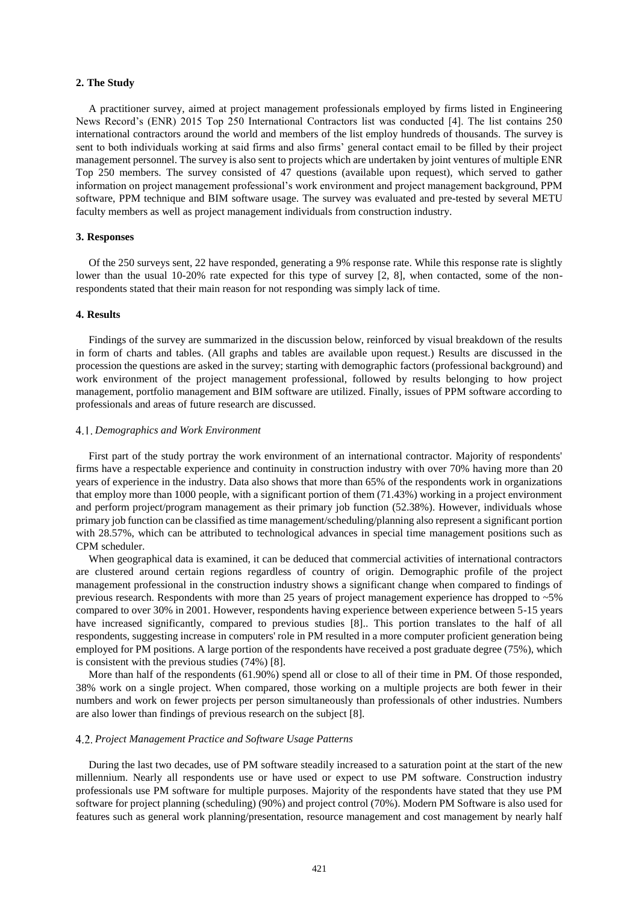## **2. The Study**

A practitioner survey, aimed at project management professionals employed by firms listed in Engineering News Record's (ENR) 2015 Top 250 International Contractors list was conducted [4]. The list contains 250 international contractors around the world and members of the list employ hundreds of thousands. The survey is sent to both individuals working at said firms and also firms' general contact email to be filled by their project management personnel. The survey is also sent to projects which are undertaken by joint ventures of multiple ENR Top 250 members. The survey consisted of 47 questions (available upon request), which served to gather information on project management professional's work environment and project management background, PPM software, PPM technique and BIM software usage. The survey was evaluated and pre-tested by several METU faculty members as well as project management individuals from construction industry.

#### **3. Responses**

Of the 250 surveys sent, 22 have responded, generating a 9% response rate. While this response rate is slightly lower than the usual 10-20% rate expected for this type of survey [2, 8], when contacted, some of the nonrespondents stated that their main reason for not responding was simply lack of time.

# **4. Results**

Findings of the survey are summarized in the discussion below, reinforced by visual breakdown of the results in form of charts and tables. (All graphs and tables are available upon request.) Results are discussed in the procession the questions are asked in the survey; starting with demographic factors (professional background) and work environment of the project management professional, followed by results belonging to how project management, portfolio management and BIM software are utilized. Finally, issues of PPM software according to professionals and areas of future research are discussed.

## *Demographics and Work Environment*

First part of the study portray the work environment of an international contractor. Majority of respondents' firms have a respectable experience and continuity in construction industry with over 70% having more than 20 years of experience in the industry. Data also shows that more than 65% of the respondents work in organizations that employ more than 1000 people, with a significant portion of them (71.43%) working in a project environment and perform project/program management as their primary job function (52.38%). However, individuals whose primary job function can be classified as time management/scheduling/planning also represent a significant portion with 28.57%, which can be attributed to technological advances in special time management positions such as CPM scheduler.

When geographical data is examined, it can be deduced that commercial activities of international contractors are clustered around certain regions regardless of country of origin. Demographic profile of the project management professional in the construction industry shows a significant change when compared to findings of previous research. Respondents with more than 25 years of project management experience has dropped to ~5% compared to over 30% in 2001. However, respondents having experience between experience between 5-15 years have increased significantly, compared to previous studies [8].. This portion translates to the half of all respondents, suggesting increase in computers' role in PM resulted in a more computer proficient generation being employed for PM positions. A large portion of the respondents have received a post graduate degree (75%), which is consistent with the previous studies (74%) [8].

More than half of the respondents (61.90%) spend all or close to all of their time in PM. Of those responded, 38% work on a single project. When compared, those working on a multiple projects are both fewer in their numbers and work on fewer projects per person simultaneously than professionals of other industries. Numbers are also lower than findings of previous research on the subject [8].

## *Project Management Practice and Software Usage Patterns*

During the last two decades, use of PM software steadily increased to a saturation point at the start of the new millennium. Nearly all respondents use or have used or expect to use PM software. Construction industry professionals use PM software for multiple purposes. Majority of the respondents have stated that they use PM software for project planning (scheduling) (90%) and project control (70%). Modern PM Software is also used for features such as general work planning/presentation, resource management and cost management by nearly half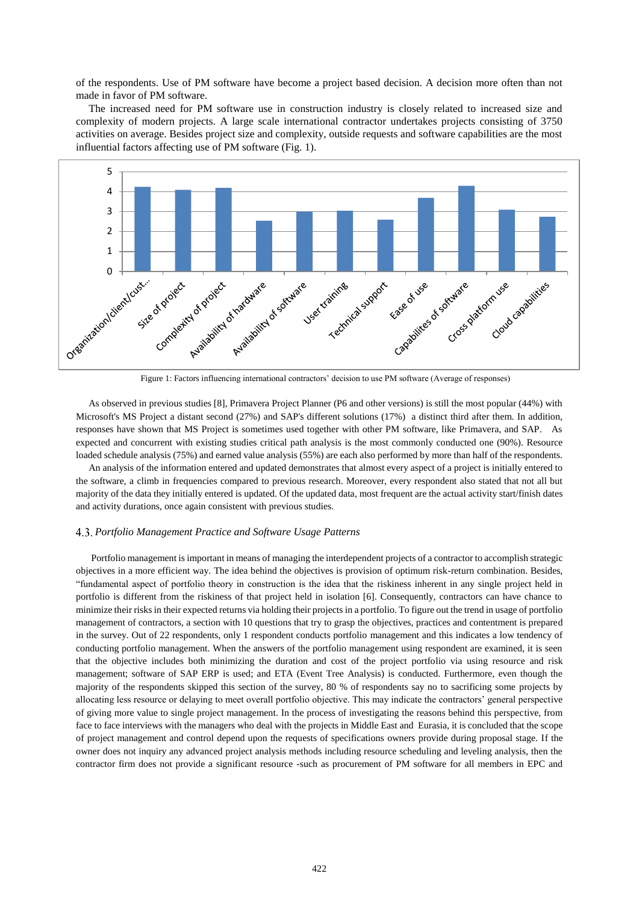of the respondents. Use of PM software have become a project based decision. A decision more often than not made in favor of PM software.

The increased need for PM software use in construction industry is closely related to increased size and complexity of modern projects. A large scale international contractor undertakes projects consisting of 3750 activities on average. Besides project size and complexity, outside requests and software capabilities are the most influential factors affecting use of PM software (Fig. 1).



Figure 1: Factors influencing international contractors' decision to use PM software (Average of responses)

As observed in previous studies [8], Primavera Project Planner (P6 and other versions) is still the most popular (44%) with Microsoft's MS Project a distant second (27%) and SAP's different solutions (17%) a distinct third after them. In addition, responses have shown that MS Project is sometimes used together with other PM software, like Primavera, and SAP. As expected and concurrent with existing studies critical path analysis is the most commonly conducted one (90%). Resource loaded schedule analysis (75%) and earned value analysis (55%) are each also performed by more than half of the respondents.

An analysis of the information entered and updated demonstrates that almost every aspect of a project is initially entered to the software, a climb in frequencies compared to previous research. Moreover, every respondent also stated that not all but majority of the data they initially entered is updated. Of the updated data, most frequent are the actual activity start/finish dates and activity durations, once again consistent with previous studies.

## *Portfolio Management Practice and Software Usage Patterns*

Portfolio management is important in means of managing the interdependent projects of a contractor to accomplish strategic objectives in a more efficient way. The idea behind the objectives is provision of optimum risk-return combination. Besides, "fundamental aspect of portfolio theory in construction is the idea that the riskiness inherent in any single project held in portfolio is different from the riskiness of that project held in isolation [6]. Consequently, contractors can have chance to minimize their risks in their expected returns via holding their projects in a portfolio. To figure out the trend in usage of portfolio management of contractors, a section with 10 questions that try to grasp the objectives, practices and contentment is prepared in the survey. Out of 22 respondents, only 1 respondent conducts portfolio management and this indicates a low tendency of conducting portfolio management. When the answers of the portfolio management using respondent are examined, it is seen that the objective includes both minimizing the duration and cost of the project portfolio via using resource and risk management; software of SAP ERP is used; and ETA (Event Tree Analysis) is conducted. Furthermore, even though the majority of the respondents skipped this section of the survey, 80 % of respondents say no to sacrificing some projects by allocating less resource or delaying to meet overall portfolio objective. This may indicate the contractors' general perspective of giving more value to single project management. In the process of investigating the reasons behind this perspective, from face to face interviews with the managers who deal with the projects in Middle East and Eurasia, it is concluded that the scope of project management and control depend upon the requests of specifications owners provide during proposal stage. If the owner does not inquiry any advanced project analysis methods including resource scheduling and leveling analysis, then the contractor firm does not provide a significant resource -such as procurement of PM software for all members in EPC and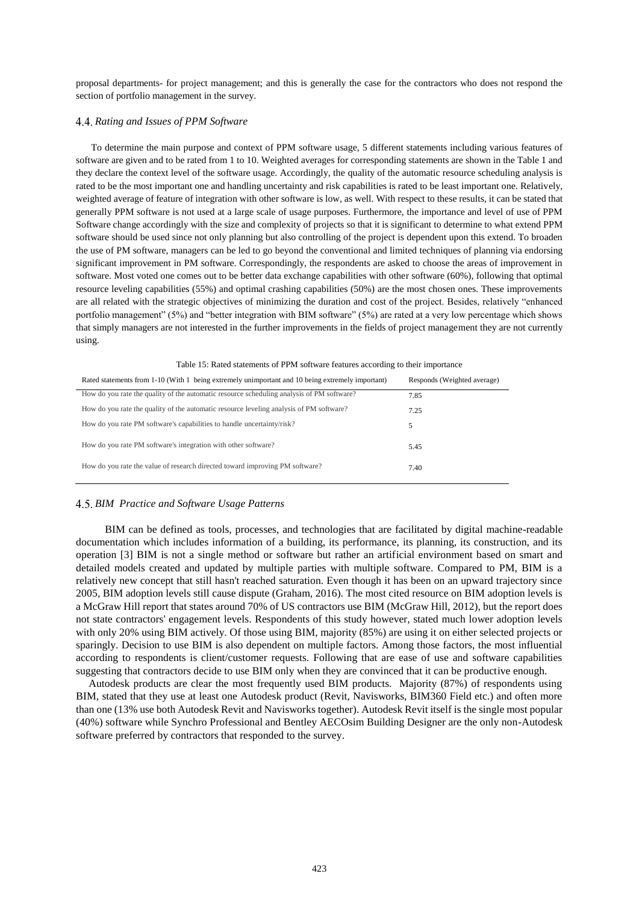proposal departments- for project management; and this is generally the case for the contractors who does not respond the section of portfolio management in the survey.

# *Rating and Issues of PPM Software*

To determine the main purpose and context of PPM software usage, 5 different statements including various features of software are given and to be rated from 1 to 10. Weighted averages for corresponding statements are shown in the Table 1 and they declare the context level of the software usage. Accordingly, the quality of the automatic resource scheduling analysis is rated to be the most important one and handling uncertainty and risk capabilities is rated to be least important one. Relatively, weighted average of feature of integration with other software is low, as well. With respect to these results, it can be stated that generally PPM software is not used at a large scale of usage purposes. Furthermore, the importance and level of use of PPM Software change accordingly with the size and complexity of projects so that it is significant to determine to what extend PPM software should be used since not only planning but also controlling of the project is dependent upon this extend. To broaden the use of PM software, managers can be led to go beyond the conventional and limited techniques of planning via endorsing significant improvement in PM software. Correspondingly, the respondents are asked to choose the areas of improvement in software. Most voted one comes out to be better data exchange capabilities with other software (60%), following that optimal resource leveling capabilities (55%) and optimal crashing capabilities (50%) are the most chosen ones. These improvements are all related with the strategic objectives of minimizing the duration and cost of the project. Besides, relatively "enhanced portfolio management" (5%) and "better integration with BIM software" (5%) are rated at a very low percentage which shows that simply managers are not interested in the further improvements in the fields of project management they are not currently using.

| Rated statements from 1-10 (With 1 being extremely unimportant and 10 being extremely important) | Responds (Weighted average) |
|--------------------------------------------------------------------------------------------------|-----------------------------|
| How do you rate the quality of the automatic resource scheduling analysis of PM software?        | 7.85                        |
| How do you rate the quality of the automatic resource leveling analysis of PM software?          | 7.25                        |
| How do you rate PM software's capabilities to handle uncertainty/risk?                           | 5                           |
| How do you rate PM software's integration with other software?                                   | 5.45                        |
| How do you rate the value of research directed toward improving PM software?                     | 7.40                        |

Table 15: Rated statements of PPM software features according to their importance

# *BIM Practice and Software Usage Patterns*

 BIM can be defined as tools, processes, and technologies that are facilitated by digital machine-readable documentation which includes information of a building, its performance, its planning, its construction, and its operation [3] BIM is not a single method or software but rather an artificial environment based on smart and detailed models created and updated by multiple parties with multiple software. Compared to PM, BIM is a relatively new concept that still hasn't reached saturation. Even though it has been on an upward trajectory since 2005, BIM adoption levels still cause dispute (Graham, 2016). The most cited resource on BIM adoption levels is a McGraw Hill report that states around 70% of US contractors use BIM (McGraw Hill, 2012), but the report does not state contractors' engagement levels. Respondents of this study however, stated much lower adoption levels with only 20% using BIM actively. Of those using BIM, majority (85%) are using it on either selected projects or sparingly. Decision to use BIM is also dependent on multiple factors. Among those factors, the most influential according to respondents is client/customer requests. Following that are ease of use and software capabilities suggesting that contractors decide to use BIM only when they are convinced that it can be productive enough.

Autodesk products are clear the most frequently used BIM products. Majority (87%) of respondents using BIM, stated that they use at least one Autodesk product (Revit, Navisworks, BIM360 Field etc.) and often more than one (13% use both Autodesk Revit and Navisworks together). Autodesk Revit itself is the single most popular (40%) software while Synchro Professional and Bentley AECOsim Building Designer are the only non-Autodesk software preferred by contractors that responded to the survey.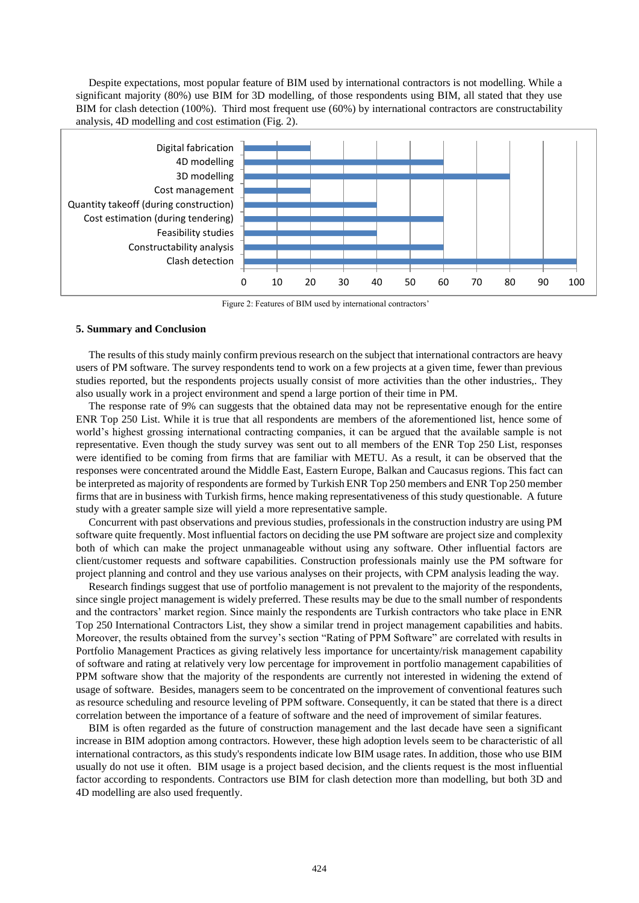Despite expectations, most popular feature of BIM used by international contractors is not modelling. While a significant majority (80%) use BIM for 3D modelling, of those respondents using BIM, all stated that they use BIM for clash detection (100%). Third most frequent use (60%) by international contractors are constructability analysis, 4D modelling and cost estimation (Fig. 2).



Figure 2: Features of BIM used by international contractors'

#### **5. Summary and Conclusion**

The results of this study mainly confirm previous research on the subject that international contractors are heavy users of PM software. The survey respondents tend to work on a few projects at a given time, fewer than previous studies reported, but the respondents projects usually consist of more activities than the other industries,. They also usually work in a project environment and spend a large portion of their time in PM.

The response rate of 9% can suggests that the obtained data may not be representative enough for the entire ENR Top 250 List. While it is true that all respondents are members of the aforementioned list, hence some of world's highest grossing international contracting companies, it can be argued that the available sample is not representative. Even though the study survey was sent out to all members of the ENR Top 250 List, responses were identified to be coming from firms that are familiar with METU. As a result, it can be observed that the responses were concentrated around the Middle East, Eastern Europe, Balkan and Caucasus regions. This fact can be interpreted as majority of respondents are formed by Turkish ENR Top 250 members and ENR Top 250 member firms that are in business with Turkish firms, hence making representativeness of this study questionable. A future study with a greater sample size will yield a more representative sample.

Concurrent with past observations and previous studies, professionals in the construction industry are using PM software quite frequently. Most influential factors on deciding the use PM software are project size and complexity both of which can make the project unmanageable without using any software. Other influential factors are client/customer requests and software capabilities. Construction professionals mainly use the PM software for project planning and control and they use various analyses on their projects, with CPM analysis leading the way.

Research findings suggest that use of portfolio management is not prevalent to the majority of the respondents, since single project management is widely preferred. These results may be due to the small number of respondents and the contractors' market region. Since mainly the respondents are Turkish contractors who take place in ENR Top 250 International Contractors List, they show a similar trend in project management capabilities and habits. Moreover, the results obtained from the survey's section "Rating of PPM Software" are correlated with results in Portfolio Management Practices as giving relatively less importance for uncertainty/risk management capability of software and rating at relatively very low percentage for improvement in portfolio management capabilities of PPM software show that the majority of the respondents are currently not interested in widening the extend of usage of software. Besides, managers seem to be concentrated on the improvement of conventional features such as resource scheduling and resource leveling of PPM software. Consequently, it can be stated that there is a direct correlation between the importance of a feature of software and the need of improvement of similar features.

BIM is often regarded as the future of construction management and the last decade have seen a significant increase in BIM adoption among contractors. However, these high adoption levels seem to be characteristic of all international contractors, as this study's respondents indicate low BIM usage rates. In addition, those who use BIM usually do not use it often. BIM usage is a project based decision, and the clients request is the most influential factor according to respondents. Contractors use BIM for clash detection more than modelling, but both 3D and 4D modelling are also used frequently.